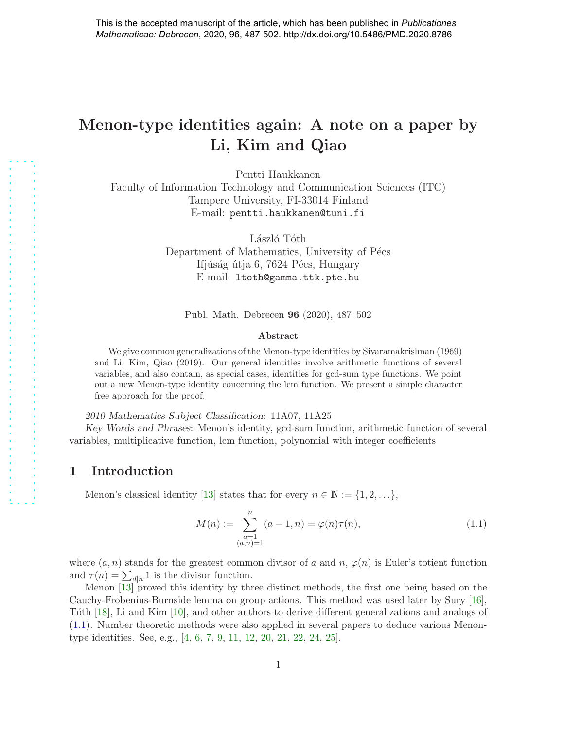# Menon-type identities again: A note on a paper by Li, Kim and Qiao

Pentti Haukkanen

Faculty of Information Technology and Communication Sciences (ITC) Tampere University, FI-33014 Finland E-mail: pentti.haukkanen@tuni.fi

> László Tóth Department of Mathematics, University of Pécs Ifjúság útja 6, 7624 Pécs, Hungary E-mail: ltoth@gamma.ttk.pte.hu

Publ. Math. Debrecen 96 (2020), 487–502

#### Abstract

We give common generalizations of the Menon-type identities by Sivaramakrishnan (1969) and Li, Kim, Qiao (2019). Our general identities involve arithmetic functions of several variables, and also contain, as special cases, identities for gcd-sum type functions. We point out a new Menon-type identity concerning the lcm function. We present a simple character free approach for the proof.

2010 Mathematics Subject Classification: 11A07, 11A25

Key Words and Phrases: Menon's identity, gcd-sum function, arithmetic function of several variables, multiplicative function, lcm function, polynomial with integer coefficients

### 1 Introduction

Menon's classical identity [\[13\]](#page-12-0) states that for every  $n \in \mathbb{N} := \{1, 2, \ldots\},\$ 

<span id="page-0-0"></span>
$$
M(n) := \sum_{\substack{a=1 \ (a,n)=1}}^{n} (a-1,n) = \varphi(n)\tau(n), \tag{1.1}
$$

where  $(a, n)$  stands for the greatest common divisor of a and n,  $\varphi(n)$  is Euler's totient function and  $\tau(n) = \sum_{d|n} 1$  is the divisor function.

Menon [\[13\]](#page-12-0) proved this identity by three distinct methods, the first one being based on the Cauchy-Frobenius-Burnside lemma on group actions. This method was used later by Sury [\[16\]](#page-12-1), Tóth [\[18\]](#page-12-2), Li and Kim [\[10\]](#page-12-3), and other authors to derive different generalizations and analogs of [\(1.1\)](#page-0-0). Number theoretic methods were also applied in several papers to deduce various Menontype identities. See, e.g., [\[4,](#page-12-4) [6,](#page-12-5) [7,](#page-12-6) [9,](#page-12-7) [11,](#page-12-8) [12,](#page-12-9) [20,](#page-13-0) [21,](#page-13-1) [22,](#page-13-2) [24,](#page-13-3) [25\]](#page-13-4).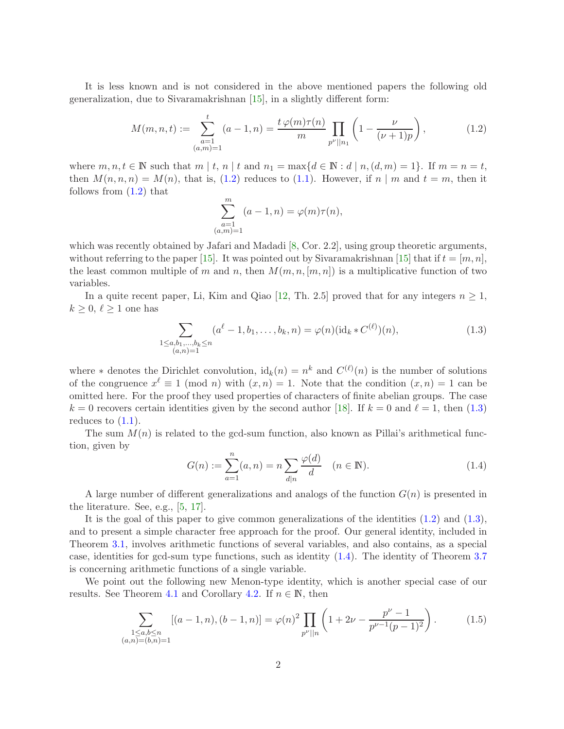It is less known and is not considered in the above mentioned papers the following old generalization, due to Sivaramakrishnan [\[15\]](#page-12-10), in a slightly different form:

<span id="page-1-0"></span>
$$
M(m, n, t) := \sum_{\substack{a=1 \ (a,m)=1}}^{t} (a-1, n) = \frac{t \varphi(m)\tau(n)}{m} \prod_{p^{\nu}||n_1} \left(1 - \frac{\nu}{(\nu+1)p}\right),
$$
(1.2)

where  $m, n, t \in \mathbb{N}$  such that  $m \mid t, n \mid t$  and  $n_1 = \max\{d \in \mathbb{N} : d \mid n, (d, m) = 1\}$ . If  $m = n = t$ , then  $M(n, n, n) = M(n)$ , that is, [\(1.2\)](#page-1-0) reduces to [\(1.1\)](#page-0-0). However, if n | m and  $t = m$ , then it follows from [\(1.2\)](#page-1-0) that

$$
\sum_{\substack{a=1 \ (a,m)=1}}^{m} (a-1,n) = \varphi(m)\tau(n),
$$

which was recently obtained by Jafari and Madadi [\[8,](#page-12-11) Cor. 2.2], using group theoretic arguments, without referring to the paper [\[15\]](#page-12-10). It was pointed out by Sivaramakrishnan [15] that if  $t = [m, n]$ , the least common multiple of m and n, then  $M(m, n, [m, n])$  is a multiplicative function of two variables.

In a quite recent paper, Li, Kim and Qiao [\[12,](#page-12-9) Th. 2.5] proved that for any integers  $n \geq 1$ ,  $k \geq 0, \ell \geq 1$  one has

<span id="page-1-1"></span>
$$
\sum_{\substack{1 \le a,b_1,\dots,b_k \le n \\ (a,n)=1}} (a^{\ell}-1,b_1,\dots,b_k,n) = \varphi(n)(\mathrm{id}_k * C^{(\ell)})(n),\tag{1.3}
$$

where  $*$  denotes the Dirichlet convolution,  $id_k(n) = n^k$  and  $C^{(\ell)}(n)$  is the number of solutions of the congruence  $x^{\ell} \equiv 1 \pmod{n}$  with  $(x, n) = 1$ . Note that the condition  $(x, n) = 1$  can be omitted here. For the proof they used properties of characters of finite abelian groups. The case  $k = 0$  recovers certain identities given by the second author [\[18\]](#page-12-2). If  $k = 0$  and  $\ell = 1$ , then [\(1.3\)](#page-1-1) reduces to  $(1.1)$ .

The sum  $M(n)$  is related to the gcd-sum function, also known as Pillai's arithmetical function, given by

<span id="page-1-2"></span>
$$
G(n) := \sum_{a=1}^{n} (a, n) = n \sum_{d|n} \frac{\varphi(d)}{d} \quad (n \in \mathbb{N}).
$$
 (1.4)

A large number of different generalizations and analogs of the function  $G(n)$  is presented in the literature. See, e.g., [\[5,](#page-12-12) [17\]](#page-12-13).

It is the goal of this paper to give common generalizations of the identities [\(1.2\)](#page-1-0) and [\(1.3\)](#page-1-1), and to present a simple character free approach for the proof. Our general identity, included in Theorem [3.1,](#page-4-0) involves arithmetic functions of several variables, and also contains, as a special case, identities for gcd-sum type functions, such as identity [\(1.4\)](#page-1-2). The identity of Theorem [3.7](#page-8-0) is concerning arithmetic functions of a single variable.

We point out the following new Menon-type identity, which is another special case of our results. See Theorem [4.1](#page-9-0) and Corollary [4.2.](#page-11-0) If  $n \in \mathbb{N}$ , then

<span id="page-1-3"></span>
$$
\sum_{\substack{1 \le a,b \le n \\ (a,n)=(b,n)=1}} [(a-1,n),(b-1,n)] = \varphi(n)^2 \prod_{p^{\nu}||n} \left(1 + 2\nu - \frac{p^{\nu} - 1}{p^{\nu-1}(p-1)^2}\right). \tag{1.5}
$$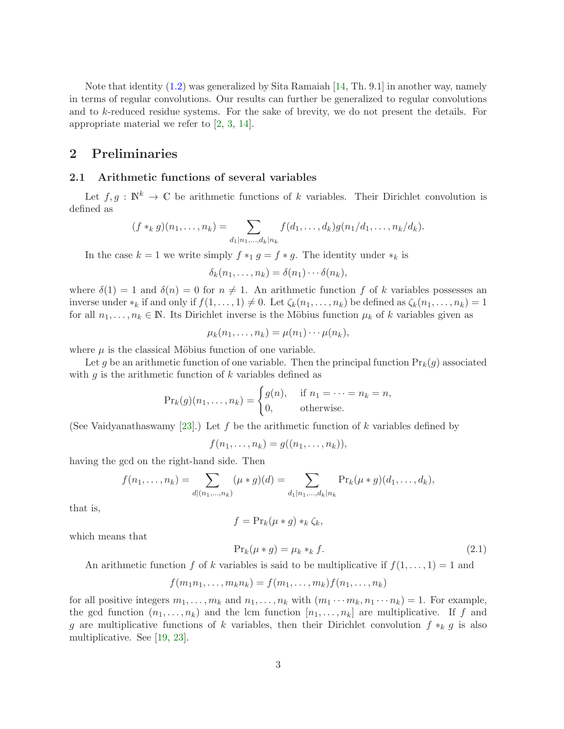Note that identity [\(1.2\)](#page-1-0) was generalized by Sita Ramaiah [\[14,](#page-12-14) Th. 9.1] in another way, namely in terms of regular convolutions. Our results can further be generalized to regular convolutions and to k-reduced residue systems. For the sake of brevity, we do not present the details. For appropriate material we refer to [\[2,](#page-12-15) [3,](#page-12-16) [14\]](#page-12-14).

### 2 Preliminaries

#### 2.1 Arithmetic functions of several variables

Let  $f, g : \mathbb{N}^k \to \mathbb{C}$  be arithmetic functions of k variables. Their Dirichlet convolution is defined as

$$
(f *_{k} g)(n_{1},...,n_{k}) = \sum_{d_{1}|n_{1},...,d_{k}|n_{k}} f(d_{1},...,d_{k})g(n_{1}/d_{1},...,n_{k}/d_{k}).
$$

In the case  $k = 1$  we write simply  $f *_{1} g = f * g$ . The identity under  $*_k$  is

$$
\delta_k(n_1,\ldots,n_k)=\delta(n_1)\cdots\delta(n_k),
$$

where  $\delta(1) = 1$  and  $\delta(n) = 0$  for  $n \neq 1$ . An arithmetic function f of k variables possesses an inverse under  $*_k$  if and only if  $f(1,\ldots,1)\neq 0$ . Let  $\zeta_k(n_1,\ldots,n_k)$  be defined as  $\zeta_k(n_1,\ldots,n_k)=1$ for all  $n_1, \ldots, n_k \in \mathbb{N}$ . Its Dirichlet inverse is the Möbius function  $\mu_k$  of k variables given as

$$
\mu_k(n_1,\ldots,n_k)=\mu(n_1)\cdots\mu(n_k),
$$

where  $\mu$  is the classical Möbius function of one variable.

Let g be an arithmetic function of one variable. Then the principal function  $\Pr_k(g)$  associated with  $g$  is the arithmetic function of  $k$  variables defined as

$$
\Pr_k(g)(n_1,\ldots,n_k) = \begin{cases} g(n), & \text{if } n_1 = \cdots = n_k = n, \\ 0, & \text{otherwise.} \end{cases}
$$

(See Vaidyanathaswamy [\[23\]](#page-13-5).) Let f be the arithmetic function of k variables defined by

$$
f(n_1,\ldots,n_k)=g((n_1,\ldots,n_k)),
$$

having the gcd on the right-hand side. Then

$$
f(n_1,\ldots,n_k) = \sum_{d|(n_1,\ldots,n_k)} (\mu * g)(d) = \sum_{d_1|n_1,\ldots,d_k|n_k} \Pr_k(\mu * g)(d_1,\ldots,d_k),
$$

that is,

$$
f = \Pr_k(\mu * g) *_{k} \zeta_k,
$$

which means that

<span id="page-2-0"></span>
$$
\Pr_k(\mu * g) = \mu_k *_{k} f. \tag{2.1}
$$

An arithmetic function f of k variables is said to be multiplicative if  $f(1, \ldots, 1) = 1$  and

$$
f(m_1n_1,\ldots,m_kn_k)=f(m_1,\ldots,m_k)f(n_1,\ldots,n_k)
$$

for all positive integers  $m_1, \ldots, m_k$  and  $n_1, \ldots, n_k$  with  $(m_1 \cdots m_k, n_1 \cdots n_k) = 1$ . For example, the gcd function  $(n_1, \ldots, n_k)$  and the lcm function  $[n_1, \ldots, n_k]$  are multiplicative. If f and g are multiplicative functions of k variables, then their Dirichlet convolution  $f *_{k} g$  is also multiplicative. See [\[19,](#page-13-6) [23\]](#page-13-5).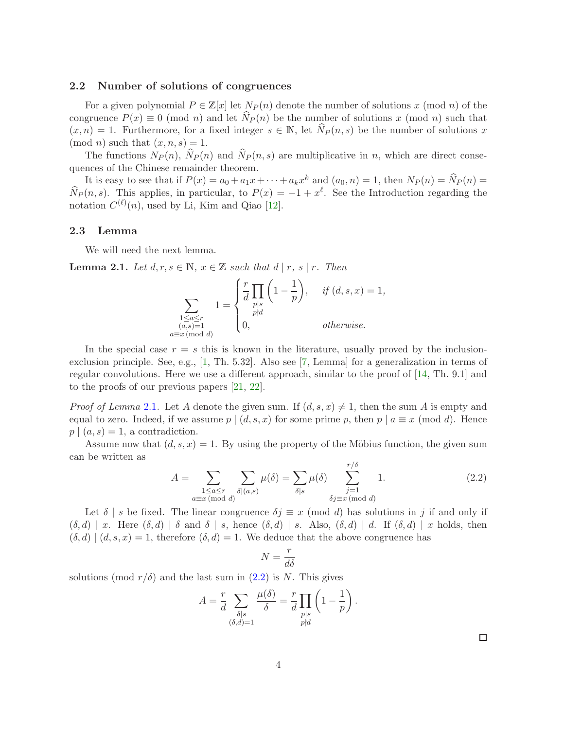#### <span id="page-3-2"></span>2.2 Number of solutions of congruences

For a given polynomial  $P \in \mathbb{Z}[x]$  let  $N_P(n)$  denote the number of solutions x (mod n) of the congruence  $P(x) \equiv 0 \pmod{n}$  and let  $N_P(n)$  be the number of solutions x (mod n) such that  $(x, n) = 1$ . Furthermore, for a fixed integer  $s \in \mathbb{N}$ , let  $\widehat{N}_P (n, s)$  be the number of solutions x  $\pmod{n}$  such that  $(x, n, s) = 1$ .

The functions  $N_P(n)$ ,  $N_P(n)$  and  $N_P(n, s)$  are multiplicative in n, which are direct consequences of the Chinese remainder theorem.

It is easy to see that if  $P(x) = a_0 + a_1x + \cdots + a_kx^k$  and  $(a_0, n) = 1$ , then  $N_P(n) = \hat{N}_P(n) =$  $\widehat{N}_P(n, s)$ . This applies, in particular, to  $P(x) = -1 + x^{\ell}$ . See the Introduction regarding the notation  $C^{(\ell)}(n)$ , used by Li, Kim and Qiao [\[12\]](#page-12-9).

#### 2.3 Lemma

We will need the next lemma.

<span id="page-3-0"></span>**Lemma 2.1.** Let  $d, r, s \in \mathbb{N}$ ,  $x \in \mathbb{Z}$  such that  $d | r, s | r$ . Then

$$
\sum_{\substack{1 \le a \le r \\ (a,s)=1 \\ a \equiv x \pmod{d}}} 1 = \begin{cases} \frac{r}{d} \prod_{p|s} \left(1 - \frac{1}{p}\right), & \text{if } (d,s,x) = 1, \\ p|d & \text{otherwise.} \end{cases}
$$

In the special case  $r = s$  this is known in the literature, usually proved by the inclusionexclusion principle. See, e.g., [\[1,](#page-12-17) Th. 5.32]. Also see [\[7,](#page-12-6) Lemma] for a generalization in terms of regular convolutions. Here we use a different approach, similar to the proof of [\[14,](#page-12-14) Th. 9.1] and to the proofs of our previous papers [\[21,](#page-13-1) [22\]](#page-13-2).

*Proof of Lemma* [2.1](#page-3-0). Let A denote the given sum. If  $(d, s, x) \neq 1$ , then the sum A is empty and equal to zero. Indeed, if we assume  $p | (d, s, x)$  for some prime p, then  $p | a \equiv x \pmod{d}$ . Hence  $p \mid (a, s) = 1$ , a contradiction.

Assume now that  $(d, s, x) = 1$ . By using the property of the Möbius function, the given sum can be written as  $\overline{\Omega}$ 

<span id="page-3-1"></span>
$$
A = \sum_{\substack{1 \le a \le r \\ a \equiv x \pmod{d}}} \sum_{\delta | (a,s)} \mu(\delta) = \sum_{\delta | s} \mu(\delta) \sum_{\substack{j=1 \\ \delta j \equiv x \pmod{d}}}^{r/\delta} 1.
$$
 (2.2)

Let  $\delta$  | s be fixed. The linear congruence  $\delta j \equiv x \pmod{d}$  has solutions in j if and only if  $(\delta, d) \mid x$ . Here  $(\delta, d) \mid \delta$  and  $\delta \mid s$ , hence  $(\delta, d) \mid s$ . Also,  $(\delta, d) \mid d$ . If  $(\delta, d) \mid x$  holds, then  $(\delta, d) | (d, s, x) = 1$ , therefore  $(\delta, d) = 1$ . We deduce that the above congruence has

$$
N=\frac{r}{d\delta}
$$

solutions (mod  $r/\delta$ ) and the last sum in  $(2.2)$  is N. This gives

$$
A = \frac{r}{d} \sum_{\substack{\delta \mid s \\ (\delta, d) = 1}} \frac{\mu(\delta)}{\delta} = \frac{r}{d} \prod_{\substack{p \mid s \\ p \nmid d}} \left( 1 - \frac{1}{p} \right).
$$

 $\Box$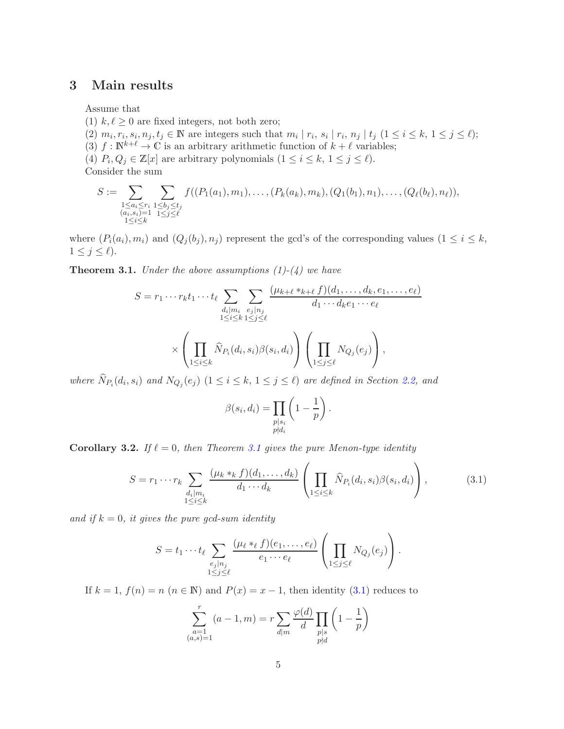# 3 Main results

Assume that

- (1)  $k, \ell \geq 0$  are fixed integers, not both zero;
- (2)  $m_i, r_i, s_i, n_j, t_j \in \mathbb{N}$  are integers such that  $m_i | r_i, s_i | r_i, n_j | t_j$   $(1 \le i \le k, 1 \le j \le \ell);$
- (3)  $f : \mathbb{N}^{k+\ell} \to \mathbb{C}$  is an arbitrary arithmetic function of  $k+\ell$  variables;
- (4)  $P_i, Q_j \in \mathbb{Z}[x]$  are arbitrary polynomials  $(1 \leq i \leq k, 1 \leq j \leq \ell)$ . Consider the sum

$$
S := \sum_{\substack{1 \le a_i \le r_i \\ (a_i, s_i) = 1 \\ 1 \le i \le k}} \sum_{\substack{1 \le b_j \le t_j \\ 1 \le j \le \ell}} f((P_1(a_1), m_1), \dots, (P_k(a_k), m_k), (Q_1(b_1), n_1), \dots, (Q_\ell(b_\ell), n_\ell)),
$$

where  $(P_i(a_i), m_i)$  and  $(Q_i(b_i), n_i)$  represent the gcd's of the corresponding values  $(1 \leq i \leq k,$  $1 \leq j \leq \ell$ ).

<span id="page-4-0"></span>**Theorem 3.1.** Under the above assumptions  $(1)-(4)$  we have

$$
S = r_1 \cdots r_k t_1 \cdots t_\ell \sum_{\substack{d_i \mid m_i \ e_j \mid n_j}} \sum_{e_j \mid n_j \ i \le k} \frac{(\mu_{k+\ell} *_{k+\ell} f)(d_1, \dots, d_k, e_1, \dots, e_\ell)}{d_1 \cdots d_k e_1 \cdots e_\ell}
$$

$$
\times \left( \prod_{1 \le i \le k} \widehat{N}_{P_i}(d_i, s_i) \beta(s_i, d_i) \right) \left( \prod_{1 \le j \le \ell} N_{Q_j}(e_j) \right),
$$

where  $N_{P_i}(d_i, s_i)$  and  $N_{Q_j}(e_j)$   $(1 \leq i \leq k, 1 \leq j \leq \ell)$  are defined in Section [2.2,](#page-3-2) and

$$
\beta(s_i, d_i) = \prod_{\substack{p|s_i \\ p \nmid d_i}} \left(1 - \frac{1}{p}\right).
$$

Corollary 3.2. If  $\ell = 0$ , then Theorem [3.1](#page-4-0) gives the pure Menon-type identity

<span id="page-4-1"></span>
$$
S = r_1 \cdots r_k \sum_{\substack{d_i|m_i \\ 1 \le i \le k}} \frac{(\mu_k *_{k} f)(d_1, \ldots, d_k)}{d_1 \cdots d_k} \left( \prod_{1 \le i \le k} \widehat{N}_{P_i}(d_i, s_i) \beta(s_i, d_i) \right), \tag{3.1}
$$

and if  $k = 0$ , it gives the pure gcd-sum identity

$$
S = t_1 \cdots t_\ell \sum_{\substack{e_j \mid n_j \\ 1 \leq j \leq \ell}} \frac{(\mu_\ell *_{\ell} f)(e_1, \ldots, e_\ell)}{e_1 \cdots e_\ell} \left( \prod_{1 \leq j \leq \ell} N_{Q_j}(e_j) \right).
$$

If  $k = 1$ ,  $f(n) = n$   $(n \in \mathbb{N})$  and  $P(x) = x - 1$ , then identity [\(3.1\)](#page-4-1) reduces to

$$
\sum_{\substack{a=1 \ (a,s)=1}}^r (a-1,m) = r \sum_{d|m} \frac{\varphi(d)}{d} \prod_{\substack{p|s \ p\nmid d}} \left(1 - \frac{1}{p}\right)
$$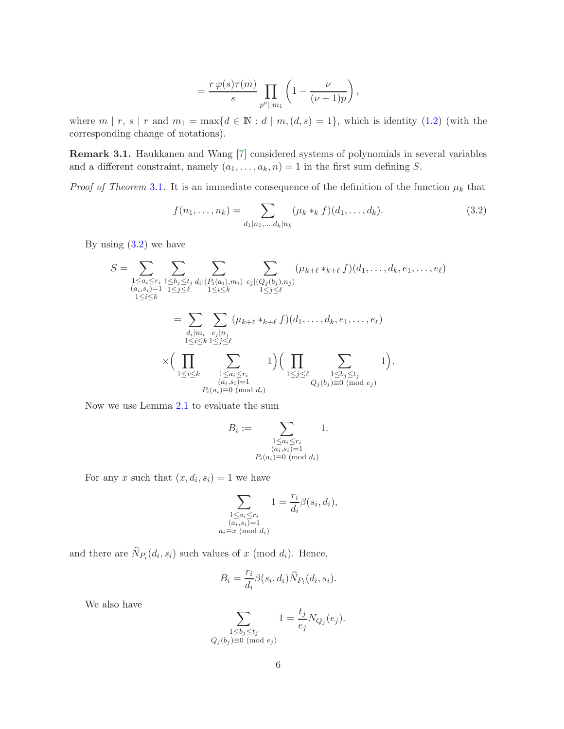$$
=\frac{r\,\varphi(s)\tau(m)}{s}\prod_{p^{\nu}||m_1}\left(1-\frac{\nu}{(\nu+1)p}\right),\,
$$

where  $m | r, s | r$  and  $m_1 = \max\{d \in \mathbb{N} : d | m, (d, s) = 1\}$ , which is identity [\(1.2\)](#page-1-0) (with the corresponding change of notations).

Remark 3.1. Haukkanen and Wang [\[7\]](#page-12-6) considered systems of polynomials in several variables and a different constraint, namely  $(a_1, \ldots, a_k, n) = 1$  in the first sum defining S.

*Proof of Theorem* [3.1](#page-4-0). It is an immediate consequence of the definition of the function  $\mu_k$  that

<span id="page-5-0"></span>
$$
f(n_1, \ldots, n_k) = \sum_{d_1 | n_1, \ldots, d_k | n_k} (\mu_k *_k f)(d_1, \ldots, d_k).
$$
 (3.2)

By using  $(3.2)$  we have

$$
S = \sum_{\substack{1 \le a_i \le r_i \\ (a_i, s_i) = 1 \\ 1 \le i \le k}} \sum_{\substack{1 \le b_j \le t_j \\ 1 \le i \le \ell}} \sum_{d_i | (P_i(a_i), m_i) \ e_j | (Q_j(b_j), n_j) \\ 1 \le i \le k}} (\mu_{k+\ell} *_{k+\ell} f)(d_1, \dots, d_k, e_1, \dots, e_\ell)
$$
  
\n
$$
= \sum_{\substack{d_i | m_i \\ 1 \le i \le k}} \sum_{\substack{e_j | n_j \\ 1 \le i \le \ell}} (\mu_{k+\ell} *_{k+\ell} f)(d_1, \dots, d_k, e_1, \dots, e_\ell)
$$
  
\n
$$
\times \Big( \prod_{\substack{1 \le i \le k \\ 1 \le i \le r_i \\ (a_i, s_i) = 1}} \sum_{\substack{1 \le a_i \le r_i \\ (a_i, s_i) = 1 \\ P_i(a_i) \equiv 0 \pmod{d_i}}} 1 \Big) \Big( \prod_{1 \le j \le \ell} \sum_{\substack{1 \le b_j \le t_j \\ Q_j(b_j) \equiv 0 \pmod{e_j}}} 1 \Big).
$$

Now we use Lemma [2.1](#page-3-0) to evaluate the sum

$$
B_i := \sum_{\substack{1 \le a_i \le r_i \\ (a_i, s_i) = 1 \\ P_i(a_i) \equiv 0 \pmod{d_i}}} 1.
$$

For any x such that  $(x, d_i, s_i) = 1$  we have

$$
\sum_{\substack{1 \le a_i \le r_i \\ (a_i, s_i) = 1 \\ a_i \equiv x \pmod{d_i}}} 1 = \frac{r_i}{d_i} \beta(s_i, d_i),
$$

and there are  $N_{P_i}(d_i, s_i)$  such values of x (mod  $d_i$ ). Hence,

$$
B_i = \frac{r_i}{d_i} \beta(s_i, d_i) \widehat{N}_{P_i}(d_i, s_i).
$$

We also have

$$
\sum_{\substack{1 \le b_j \le t_j \\ Q_j(b_j) \equiv 0 \pmod{e_j}}} 1 = \frac{t_j}{e_j} N_{Q_j}(e_j).
$$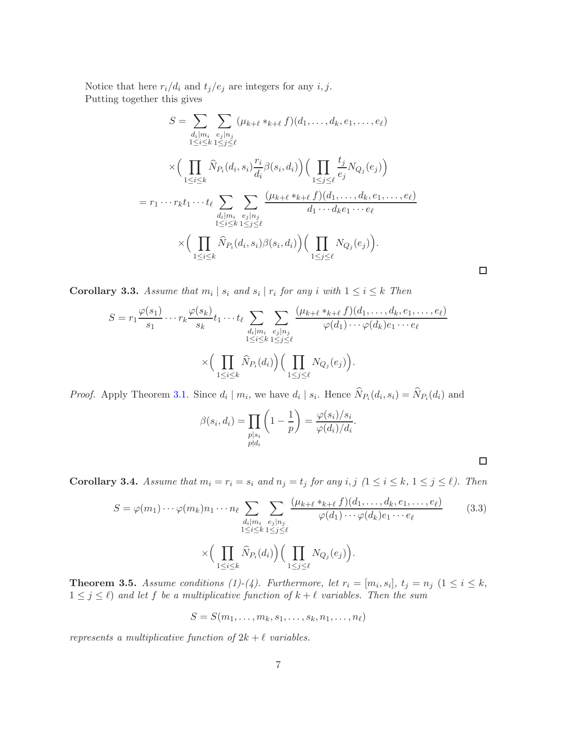Notice that here  $r_i/d_i$  and  $t_j/e_j$  are integers for any *i*, *j*. Putting together this gives

$$
S = \sum_{\substack{d_i|m_i \ e_j|n_j \\ 1 \le i \le k}} \sum_{\substack{e_j|n_j \\ 1 \le i \le k}} (\mu_{k+\ell} *_{k+\ell} f)(d_1, \dots, d_k, e_1, \dots, e_\ell)
$$
  

$$
\times \Big( \prod_{1 \le i \le k} \widehat{N}_{P_i}(d_i, s_i) \frac{r_i}{d_i} \beta(s_i, d_i) \Big) \Big( \prod_{1 \le j \le \ell} \frac{t_j}{e_j} N_{Q_j}(e_j) \Big)
$$
  

$$
= r_1 \cdots r_k t_1 \cdots t_\ell \sum_{\substack{d_i|m_i \\ 1 \le i \le k}} \sum_{\substack{e_j|n_j \\ 1 \le i \le \ell}} \frac{(\mu_{k+\ell} *_{k+\ell} f)(d_1, \dots, d_k, e_1, \dots, e_\ell)}{d_1 \cdots d_k e_1 \cdots e_\ell}
$$
  

$$
\times \Big( \prod_{1 \le i \le k} \widehat{N}_{P_i}(d_i, s_i) \beta(s_i, d_i) \Big) \Big( \prod_{1 \le j \le \ell} N_{Q_j}(e_j) \Big).
$$

 $\Box$ 

 $\Box$ 

**Corollary 3.3.** Assume that  $m_i | s_i$  and  $s_i | r_i$  for any i with  $1 \le i \le k$  Then

$$
S = r_1 \frac{\varphi(s_1)}{s_1} \cdots r_k \frac{\varphi(s_k)}{s_k} t_1 \cdots t_\ell \sum_{\substack{d_i \mid m_i \\ 1 \le i \le k}} \sum_{\substack{e_j \mid n_j \\ 1 \le j \le \ell}} \frac{(\mu_{k+\ell} *_{k+\ell} f)(d_1, \dots, d_k, e_1, \dots, e_\ell)}{\varphi(d_1) \cdots \varphi(d_k) e_1 \cdots e_\ell}
$$

$$
\times \Big(\prod_{1 \le i \le k} \widehat{N}_{P_i}(d_i)\Big) \Big(\prod_{1 \le j \le \ell} N_{Q_j}(e_j)\Big).
$$

*Proof.* Apply Theorem [3.1.](#page-4-0) Since  $d_i | m_i$ , we have  $d_i | s_i$ . Hence  $N_{P_i}(d_i, s_i) = N_{P_i}(d_i)$  and

$$
\beta(s_i, d_i) = \prod_{\substack{p|s_i \\ p \nmid d_i}} \left(1 - \frac{1}{p}\right) = \frac{\varphi(s_i)/s_i}{\varphi(d_i)/d_i}.
$$

**Corollary 3.4.** Assume that  $m_i = r_i = s_i$  and  $n_j = t_j$  for any  $i, j \ (1 \leq i \leq k, 1 \leq j \leq \ell)$ . Then

<span id="page-6-0"></span>
$$
S = \varphi(m_1) \cdots \varphi(m_k) n_1 \cdots n_\ell \sum_{\substack{d_i \mid m_i \ e_j \mid n_j \\ 1 \le i \le k}} \sum_{\substack{e_j \mid n_j \\ 1 \le i \le \ell}} \frac{(\mu_{k+\ell} *_{k+\ell} f)(d_1, \dots, d_k, e_1, \dots, e_\ell)}{\varphi(d_1) \cdots \varphi(d_k) e_1 \cdots e_\ell} \tag{3.3}
$$
\n
$$
\times \Big(\prod_{1 \le i \le k} \widehat{N}_{P_i}(d_i)\Big) \Big(\prod_{1 \le j \le \ell} N_{Q_j}(e_j)\Big).
$$

**Theorem 3.5.** Assume conditions (1)-(4). Furthermore, let  $r_i = [m_i, s_i]$ ,  $t_j = n_j$   $(1 \le i \le k,$  $1 \leq j \leq \ell$ ) and let f be a multiplicative function of  $k + \ell$  variables. Then the sum

$$
S = S(m_1, \ldots, m_k, s_1, \ldots, s_k, n_1, \ldots, n_\ell)
$$

represents a multiplicative function of  $2k + \ell$  variables.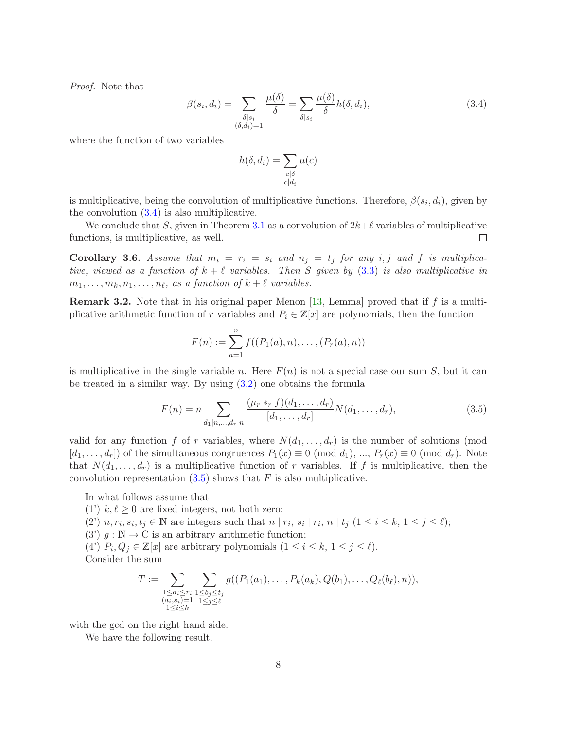Proof. Note that

<span id="page-7-0"></span>
$$
\beta(s_i, d_i) = \sum_{\substack{\delta \mid s_i \\ (\delta, d_i) = 1}} \frac{\mu(\delta)}{\delta} = \sum_{\delta \mid s_i} \frac{\mu(\delta)}{\delta} h(\delta, d_i), \tag{3.4}
$$

where the function of two variables

$$
h(\delta, d_i) = \sum_{\substack{c|\delta\\c|d_i}} \mu(c)
$$

is multiplicative, being the convolution of multiplicative functions. Therefore,  $\beta(s_i, d_i)$ , given by the convolution  $(3.4)$  is also multiplicative.

We conclude that S, given in Theorem [3.1](#page-4-0) as a convolution of  $2k+\ell$  variables of multiplicative functions, is multiplicative, as well.  $\Box$ 

<span id="page-7-2"></span>Corollary 3.6. Assume that  $m_i = r_i = s_i$  and  $n_j = t_j$  for any i, j and f is multiplicative, viewed as a function of  $k + \ell$  variables. Then S given by [\(3.3\)](#page-6-0) is also multiplicative in  $m_1, \ldots, m_k, n_1, \ldots, n_\ell$ , as a function of  $k + \ell$  variables.

**Remark 3.2.** Note that in his original paper Menon [\[13,](#page-12-0) Lemma] proved that if f is a multiplicative arithmetic function of r variables and  $P_i \in \mathbb{Z}[x]$  are polynomials, then the function

$$
F(n) := \sum_{a=1}^{n} f((P_1(a), n), \dots, (P_r(a), n))
$$

is multiplicative in the single variable n. Here  $F(n)$  is not a special case our sum S, but it can be treated in a similar way. By using [\(3.2\)](#page-5-0) one obtains the formula

<span id="page-7-1"></span>
$$
F(n) = n \sum_{d_1|n,\dots,d_r|n} \frac{(\mu_r *_{r} f)(d_1,\dots,d_r)}{[d_1,\dots,d_r]} N(d_1,\dots,d_r),
$$
\n(3.5)

valid for any function f of r variables, where  $N(d_1, \ldots, d_r)$  is the number of solutions (mod  $[d_1, \ldots, d_r]$  of the simultaneous congruences  $P_1(x) \equiv 0 \pmod{d_1}$ , ...,  $P_r(x) \equiv 0 \pmod{d_r}$ . Note that  $N(d_1, \ldots, d_r)$  is a multiplicative function of r variables. If f is multiplicative, then the convolution representation  $(3.5)$  shows that F is also multiplicative.

In what follows assume that

(1')  $k, \ell \geq 0$  are fixed integers, not both zero;

(2)  $n, r_i, s_i, t_j \in \mathbb{N}$  are integers such that  $n | r_i, s_i | r_i, n | t_j (1 \le i \le k, 1 \le j \le \ell);$ 

(3')  $g : \mathbb{N} \to \mathbb{C}$  is an arbitrary arithmetic function;

(4')  $P_i, Q_j \in \mathbb{Z}[x]$  are arbitrary polynomials  $(1 \leq i \leq k, 1 \leq j \leq \ell)$ . Consider the sum

$$
T := \sum_{\substack{1 \le a_i \le r_i \\ (a_i, s_i) = 1 \\ 1 \le i \le k}} \sum_{\substack{1 \le b_j \le t_j \\ 1 \le j \le \ell}} g((P_1(a_1), \dots, P_k(a_k), Q(b_1), \dots, Q_\ell(b_\ell), n)),
$$

with the gcd on the right hand side.

We have the following result.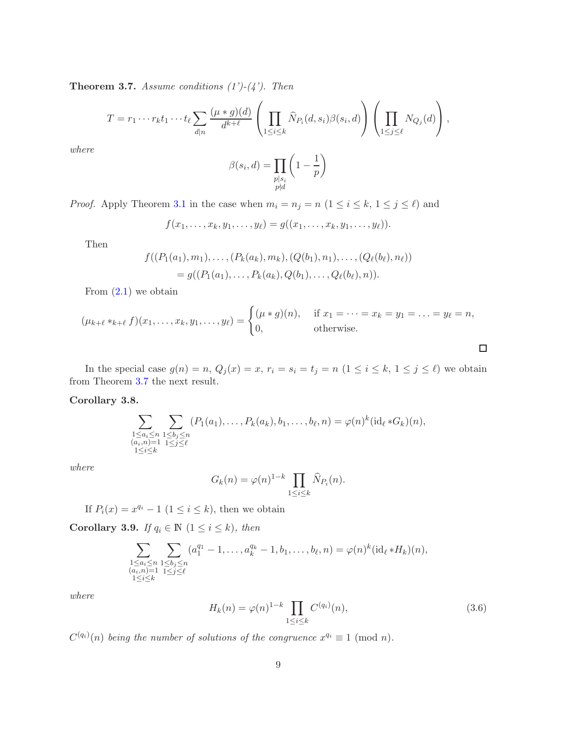<span id="page-8-0"></span>**Theorem 3.7.** Assume conditions  $(1')-(4')$ . Then

$$
T = r_1 \cdots r_k t_1 \cdots t_\ell \sum_{d|n} \frac{(\mu * g)(d)}{d^{k+\ell}} \left( \prod_{1 \leq i \leq k} \widehat{N}_{P_i}(d, s_i) \beta(s_i, d) \right) \left( \prod_{1 \leq j \leq \ell} N_{Q_j}(d) \right),
$$

where

$$
\beta(s_i, d) = \prod_{\substack{p|s_i \\ p \nmid d}} \left(1 - \frac{1}{p}\right)
$$

*Proof.* Apply Theorem [3.1](#page-4-0) in the case when  $m_i = n_j = n$   $(1 \le i \le k, 1 \le j \le \ell)$  and

$$
f(x_1,\ldots,x_k,y_1,\ldots,y_\ell)=g((x_1,\ldots,x_k,y_1,\ldots,y_\ell)).
$$

Then

$$
f((P_1(a_1), m_1), \ldots, (P_k(a_k), m_k), (Q(b_1), n_1), \ldots, (Q_\ell(b_\ell), n_\ell))
$$
  
=  $g((P_1(a_1), \ldots, P_k(a_k), Q(b_1), \ldots, Q_\ell(b_\ell), n)).$ 

From  $(2.1)$  we obtain

$$
(\mu_{k+\ell} *_{k+\ell} f)(x_1, \dots, x_k, y_1, \dots, y_\ell) = \begin{cases} (\mu * g)(n), & \text{if } x_1 = \dots = x_k = y_1 = \dots = y_\ell = n, \\ 0, & \text{otherwise.} \end{cases}
$$

In the special case  $g(n) = n$ ,  $Q_j(x) = x$ ,  $r_i = s_i = t_j = n$   $(1 \le i \le k, 1 \le j \le \ell)$  we obtain from Theorem [3.7](#page-8-0) the next result.

#### Corollary 3.8.

$$
\sum_{\substack{1 \le a_i \le n \\ (a_i, n) = 1 \\ 1 \le i \le k}} \sum_{\substack{1 \le b_j \le n \\ 1 \le j \le \ell}} (P_1(a_1), \dots, P_k(a_k), b_1, \dots, b_\ell, n) = \varphi(n)^k (\mathrm{id}_\ell * G_k)(n),
$$

where

$$
G_k(n) = \varphi(n)^{1-k} \prod_{1 \le i \le k} \widehat{N}_{P_i}(n).
$$

If  $P_i(x) = x^{q_i} - 1$   $(1 \leq i \leq k)$ , then we obtain

Corollary 3.9. If  $q_i \in \mathbb{N}$   $(1 \leq i \leq k)$ , then

$$
\sum_{\substack{1 \le a_i \le n \\ (a_i, n) = 1 \\ 1 \le i \le k}} \sum_{\substack{1 \le b_j \le n \\ 1 \le j \le \ell}} (a_1^{q_1} - 1, \dots, a_k^{q_k} - 1, b_1, \dots, b_\ell, n) = \varphi(n)^k (\mathrm{id}_\ell * H_k)(n),
$$

where

<span id="page-8-1"></span>
$$
H_k(n) = \varphi(n)^{1-k} \prod_{1 \le i \le k} C^{(q_i)}(n),\tag{3.6}
$$

 $\Box$ 

 $C^{(q_i)}(n)$  being the number of solutions of the congruence  $x^{q_i} \equiv 1 \pmod{n}$ .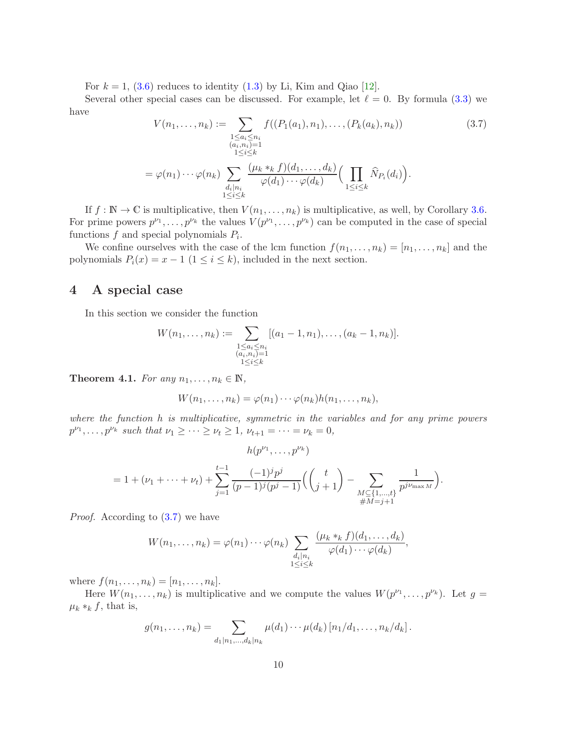For  $k = 1$ , [\(3.6\)](#page-8-1) reduces to identity [\(1.3\)](#page-1-1) by Li, Kim and Qiao [\[12\]](#page-12-9).

Several other special cases can be discussed. For example, let  $\ell = 0$ . By formula [\(3.3\)](#page-6-0) we have

<span id="page-9-1"></span>
$$
V(n_1, ..., n_k) := \sum_{\substack{1 \le a_i \le n_i \\ (a_i, n_i) = 1 \\ 1 \le i \le k}} f((P_1(a_1), n_1), ..., (P_k(a_k), n_k))
$$
(3.7)  

$$
= \varphi(n_1) \cdots \varphi(n_k) \sum_{\substack{d_i | n_i \\ 1 \le i \le k}} \frac{(\mu_k *_{k} f)(d_1, ..., d_k)}{\varphi(d_1) \cdots \varphi(d_k)} \Big(\prod_{1 \le i \le k} \widehat{N}_{P_i}(d_i)\Big).
$$

If  $f : \mathbb{N} \to \mathbb{C}$  is multiplicative, then  $V(n_1, \ldots, n_k)$  is multiplicative, as well, by Corollary [3.6.](#page-7-2) For prime powers  $p^{\nu_1}, \ldots, p^{\nu_k}$  the values  $V(p^{\nu_1}, \ldots, p^{\nu_k})$  can be computed in the case of special functions  $f$  and special polynomials  $P_i$ .

We confine ourselves with the case of the lcm function  $f(n_1, \ldots, n_k) = [n_1, \ldots, n_k]$  and the polynomials  $P_i(x) = x - 1$  ( $1 \le i \le k$ ), included in the next section.

# 4 A special case

In this section we consider the function

$$
W(n_1, \ldots, n_k) := \sum_{\substack{1 \le a_i \le n_i \\ (a_i, n_i) = 1 \\ 1 \le i \le k}} [(a_1 - 1, n_1), \ldots, (a_k - 1, n_k)].
$$

<span id="page-9-0"></span>Theorem 4.1. For any  $n_1, \ldots, n_k \in \mathbb{N}$ ,

$$
W(n_1,\ldots,n_k)=\varphi(n_1)\cdots\varphi(n_k)h(n_1,\ldots,n_k),
$$

where the function h is multiplicative, symmetric in the variables and for any prime powers  $p^{\nu_1}, \ldots, p^{\nu_k}$  such that  $\nu_1 \geq \cdots \geq \nu_t \geq 1$ ,  $\nu_{t+1} = \cdots = \nu_k = 0$ ,

$$
h(p^{\nu_1}, \dots, p^{\nu_k})
$$
  
= 1 + (\nu\_1 + \dots + \nu\_t) +  $\sum_{j=1}^{t-1} \frac{(-1)^j p^j}{(p-1)^j (p^j - 1)} \Biggl( \binom{t}{j+1} - \sum_{\substack{M \subseteq \{1, \dots, t\} \\ \#M = j+1}} \frac{1}{p^{j \nu_{\max M}}} \Biggr).$ 

Proof. According to [\(3.7\)](#page-9-1) we have

$$
W(n_1,\ldots,n_k) = \varphi(n_1)\cdots\varphi(n_k) \sum_{\substack{d_i|n_i \\ 1\leq i\leq k}} \frac{(\mu_k *_k f)(d_1,\ldots,d_k)}{\varphi(d_1)\cdots\varphi(d_k)},
$$

where  $f(n_1, ..., n_k) = [n_1, ..., n_k]$ .

Here  $W(n_1,\ldots,n_k)$  is multiplicative and we compute the values  $W(p^{\nu_1},\ldots,p^{\nu_k})$ . Let  $g=$  $\mu_k *_k f$ , that is,

$$
g(n_1,\ldots,n_k) = \sum_{d_1|n_1,\ldots,d_k|n_k} \mu(d_1)\cdots\mu(d_k) [n_1/d_1,\ldots,n_k/d_k].
$$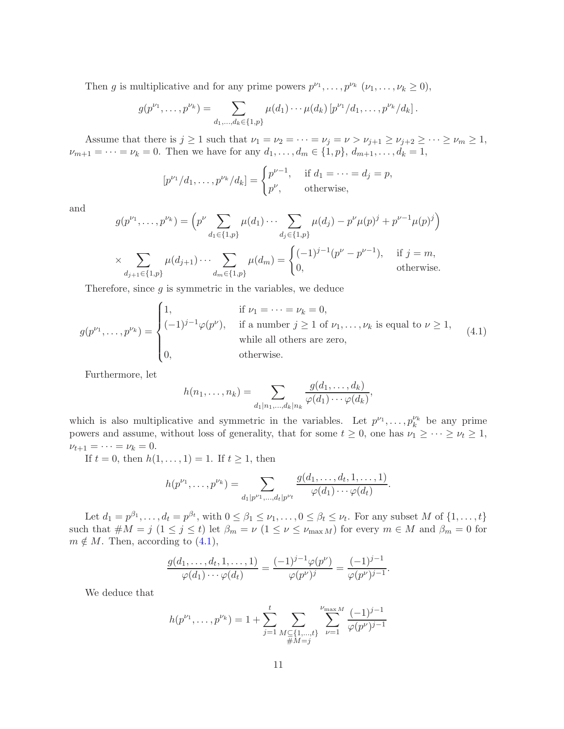Then g is multiplicative and for any prime powers  $p^{\nu_1}, \ldots, p^{\nu_k}$   $(\nu_1, \ldots, \nu_k \ge 0)$ ,

$$
g(p^{\nu_1},\ldots,p^{\nu_k})=\sum_{d_1,\ldots,d_k\in\{1,p\}}\mu(d_1)\cdots\mu(d_k)\left[p^{\nu_1}/d_1,\ldots,p^{\nu_k}/d_k\right].
$$

Assume that there is  $j \geq 1$  such that  $\nu_1 = \nu_2 = \cdots = \nu_j = \nu > \nu_{j+1} \geq \nu_{j+2} \geq \cdots \geq \nu_m \geq 1$ ,  $\nu_{m+1} = \cdots = \nu_k = 0$ . Then we have for any  $d_1, \ldots, d_m \in \{1, p\}, d_{m+1}, \ldots, d_k = 1$ ,

$$
[p^{\nu_1}/d_1,\ldots,p^{\nu_k}/d_k] = \begin{cases} p^{\nu-1}, & \text{if } d_1 = \cdots = d_j = p, \\ p^{\nu}, & \text{otherwise,} \end{cases}
$$

and

$$
g(p^{\nu_1}, \dots, p^{\nu_k}) = \left(p^{\nu} \sum_{d_1 \in \{1, p\}} \mu(d_1) \cdots \sum_{d_j \in \{1, p\}} \mu(d_j) - p^{\nu} \mu(p)^j + p^{\nu-1} \mu(p)^j\right)
$$
  
 
$$
\times \sum_{d_{j+1} \in \{1, p\}} \mu(d_{j+1}) \cdots \sum_{d_m \in \{1, p\}} \mu(d_m) = \begin{cases} (-1)^{j-1} (p^{\nu} - p^{\nu-1}), & \text{if } j = m, \\ 0, & \text{otherwise.} \end{cases}
$$

Therefore, since  $g$  is symmetric in the variables, we deduce

<span id="page-10-0"></span>
$$
g(p^{\nu_1}, \dots, p^{\nu_k}) = \begin{cases} 1, & \text{if } \nu_1 = \dots = \nu_k = 0, \\ (-1)^{j-1} \varphi(p^{\nu}), & \text{if a number } j \ge 1 \text{ of } \nu_1, \dots, \nu_k \text{ is equal to } \nu \ge 1, \\ & \text{while all others are zero,} \\ 0, & \text{otherwise.} \end{cases} \tag{4.1}
$$

Furthermore, let

$$
h(n_1,\ldots,n_k)=\sum_{d_1|n_1,\ldots,d_k|n_k}\frac{g(d_1,\ldots,d_k)}{\varphi(d_1)\cdots\varphi(d_k)},
$$

which is also multiplicative and symmetric in the variables. Let  $p^{\nu_1}, \ldots, p_k^{\nu_k}$  be any prime powers and assume, without loss of generality, that for some  $t \geq 0$ , one has  $\nu_1 \geq \cdots \geq \nu_t \geq 1$ ,  $\nu_{t+1} = \cdots = \nu_k = 0.$ 

If  $t = 0$ , then  $h(1, ..., 1) = 1$ . If  $t \ge 1$ , then

$$
h(p^{\nu_1}, \ldots, p^{\nu_k}) = \sum_{d_1 | p^{\nu_1}, \ldots, d_t | p^{\nu_t}} \frac{g(d_1, \ldots, d_t, 1, \ldots, 1)}{\varphi(d_1) \cdots \varphi(d_t)}.
$$

Let  $d_1 = p^{\beta_1}, \ldots, d_t = p^{\beta_t}$ , with  $0 \le \beta_1 \le \nu_1, \ldots, 0 \le \beta_t \le \nu_t$ . For any subset M of  $\{1, \ldots, t\}$ such that  $\#M = j \ (1 \leq j \leq t)$  let  $\beta_m = \nu \ (1 \leq \nu \leq \nu_{\max M})$  for every  $m \in M$  and  $\beta_m = 0$  for  $m \notin M$ . Then, according to [\(4.1\)](#page-10-0),

$$
\frac{g(d_1,\ldots,d_t,1,\ldots,1)}{\varphi(d_1)\cdots\varphi(d_t)}=\frac{(-1)^{j-1}\varphi(p^{\nu})}{\varphi(p^{\nu})^j}=\frac{(-1)^{j-1}}{\varphi(p^{\nu})^{j-1}}.
$$

We deduce that

$$
h(p^{\nu_1}, \dots, p^{\nu_k}) = 1 + \sum_{j=1}^t \sum_{\substack{M \subseteq \{1, \dots, t\} \\ \#M = j}} \sum_{\nu=1}^{\nu_{\max M}} \frac{(-1)^{j-1}}{\varphi(p^{\nu})^{j-1}}
$$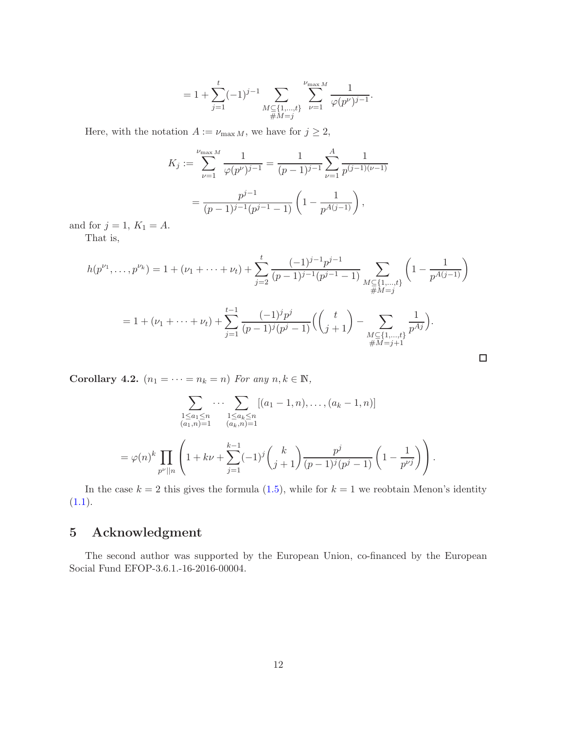$$
= 1 + \sum_{j=1}^{t} (-1)^{j-1} \sum_{\substack{M \subseteq \{1,\ldots,t\} \\ \#M = j}} \sum_{\nu=1}^{\nu_{\max M}} \frac{1}{\varphi(p^{\nu})^{j-1}}.
$$

Here, with the notation  $A := \nu_{\max M}$ , we have for  $j \geq 2$ ,

$$
K_j := \sum_{\nu=1}^{\nu_{\max} M} \frac{1}{\varphi(p^{\nu})^{j-1}} = \frac{1}{(p-1)^{j-1}} \sum_{\nu=1}^A \frac{1}{p^{(j-1)(\nu-1)}}
$$

$$
= \frac{p^{j-1}}{(p-1)^{j-1}(p^{j-1}-1)} \left(1 - \frac{1}{p^{A(j-1)}}\right),
$$

and for  $j = 1$ ,  $K_1 = A$ .

That is,

$$
h(p^{\nu_1}, \dots, p^{\nu_k}) = 1 + (\nu_1 + \dots + \nu_t) + \sum_{j=2}^t \frac{(-1)^{j-1} p^{j-1}}{(p-1)^{j-1} (p^{j-1} - 1)} \sum_{\substack{M \subseteq \{1, \dots, t\} \\ \#M = j}} \left(1 - \frac{1}{p^{A(j-1)}}\right)
$$
  
= 1 + (\nu\_1 + \dots + \nu\_t) + \sum\_{j=1}^{t-1} \frac{(-1)^j p^j}{(p-1)^j (p^j - 1)} \left(\binom{t}{j+1} - \sum\_{\substack{M \subseteq \{1, \dots, t\} \\ \#M = j+1}} \frac{1}{p^{Aj}}\right).

 $\Box$ 

<span id="page-11-0"></span>Corollary 4.2.  $(n_1 = \cdots = n_k = n)$  For any  $n, k \in \mathbb{N}$ ,

$$
\sum_{\substack{1 \le a_1 \le n \\ (a_1, n) = 1}} \cdots \sum_{\substack{1 \le a_k \le n \\ (a_k, n) = 1}} [(a_1 - 1, n), \dots, (a_k - 1, n)]
$$
  
=  $\varphi(n)^k \prod_{p^{\nu}||n} \left( 1 + k\nu + \sum_{j=1}^{k-1} (-1)^j {k \choose j+1} \frac{p^j}{(p-1)^j (p^j - 1)} \left( 1 - \frac{1}{p^{\nu j}} \right) \right).$ 

In the case  $k = 2$  this gives the formula  $(1.5)$ , while for  $k = 1$  we reobtain Menon's identity  $(1.1).$  $(1.1).$ 

# 5 Acknowledgment

The second author was supported by the European Union, co-financed by the European Social Fund EFOP-3.6.1.-16-2016-00004.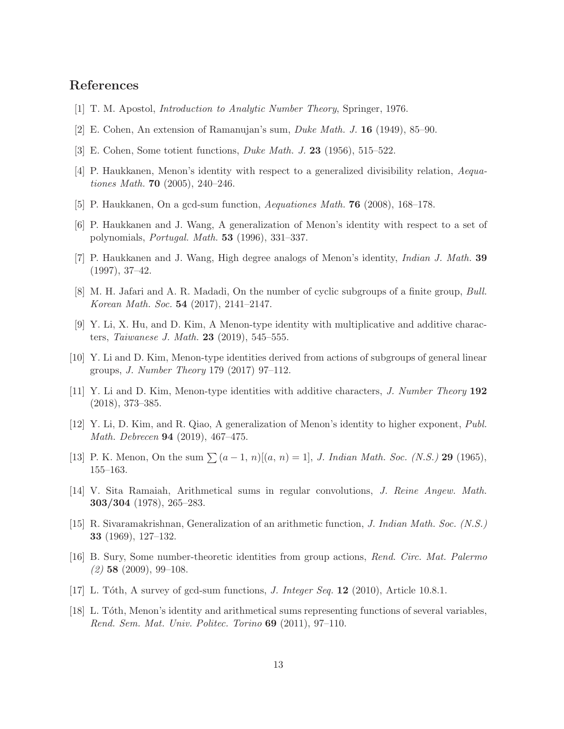## <span id="page-12-17"></span>References

- <span id="page-12-15"></span>[1] T. M. Apostol, Introduction to Analytic Number Theory, Springer, 1976.
- <span id="page-12-16"></span>[2] E. Cohen, An extension of Ramanujan's sum, Duke Math. J. 16 (1949), 85–90.
- <span id="page-12-4"></span>[3] E. Cohen, Some totient functions, Duke Math. J. 23 (1956), 515–522.
- <span id="page-12-12"></span>[4] P. Haukkanen, Menon's identity with respect to a generalized divisibility relation, Aequationes Math. 70 (2005), 240–246.
- <span id="page-12-5"></span>[5] P. Haukkanen, On a gcd-sum function, Aequationes Math. 76 (2008), 168–178.
- <span id="page-12-6"></span>[6] P. Haukkanen and J. Wang, A generalization of Menon's identity with respect to a set of polynomials, Portugal. Math. 53 (1996), 331–337.
- <span id="page-12-11"></span>[7] P. Haukkanen and J. Wang, High degree analogs of Menon's identity, Indian J. Math. 39 (1997), 37–42.
- <span id="page-12-7"></span>[8] M. H. Jafari and A. R. Madadi, On the number of cyclic subgroups of a finite group, Bull. Korean Math. Soc. 54 (2017), 2141–2147.
- <span id="page-12-3"></span>[9] Y. Li, X. Hu, and D. Kim, A Menon-type identity with multiplicative and additive characters, *Taiwanese J. Math.* **23** (2019), 545–555.
- <span id="page-12-8"></span>[10] Y. Li and D. Kim, Menon-type identities derived from actions of subgroups of general linear groups, J. Number Theory 179 (2017) 97–112.
- <span id="page-12-9"></span>[11] Y. Li and D. Kim, Menon-type identities with additive characters, J. Number Theory 192 (2018), 373–385.
- [12] Y. Li, D. Kim, and R. Qiao, A generalization of Menon's identity to higher exponent, Publ. Math. Debrecen 94 (2019), 467–475.
- <span id="page-12-14"></span><span id="page-12-0"></span>[13] P. K. Menon, On the sum  $\sum (a-1, n)[(a, n) = 1]$ , J. Indian Math. Soc. (N.S.) 29 (1965), 155–163.
- <span id="page-12-10"></span>[14] V. Sita Ramaiah, Arithmetical sums in regular convolutions, J. Reine Angew. Math. 303/304 (1978), 265–283.
- [15] R. Sivaramakrishnan, Generalization of an arithmetic function, J. Indian Math. Soc. (N.S.) 33 (1969), 127–132.
- <span id="page-12-1"></span>[16] B. Sury, Some number-theoretic identities from group actions, Rend. Circ. Mat. Palermo  $(2)$  58  $(2009)$ , 99-108.
- <span id="page-12-13"></span><span id="page-12-2"></span>[17] L. Tóth, A survey of gcd-sum functions, *J. Integer Seq.* **12** (2010), Article 10.8.1.
- [18] L. Tóth, Menon's identity and arithmetical sums representing functions of several variables, Rend. Sem. Mat. Univ. Politec. Torino 69 (2011), 97–110.